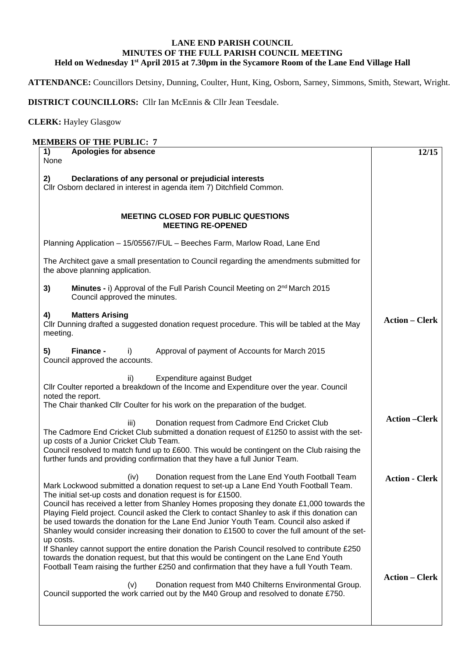## **LANE END PARISH COUNCIL MINUTES OF THE FULL PARISH COUNCIL MEETING Held on Wednesday 1st April 2015 at 7.30pm in the Sycamore Room of the Lane End Village Hall**

**ATTENDANCE:** Councillors Detsiny, Dunning, Coulter, Hunt, King, Osborn, Sarney, Simmons, Smith, Stewart, Wright.

**DISTRICT COUNCILLORS:** Cllr Ian McEnnis & Cllr Jean Teesdale.

## **CLERK:** Hayley Glasgow

## **MEMBERS OF THE PUBLIC: 7**

| <b>Apologies for absence</b><br>1)<br>None                                                                                                                                                                                                                                                                                                                                                                                                                                                                                                                                                                                   | 12/15                 |
|------------------------------------------------------------------------------------------------------------------------------------------------------------------------------------------------------------------------------------------------------------------------------------------------------------------------------------------------------------------------------------------------------------------------------------------------------------------------------------------------------------------------------------------------------------------------------------------------------------------------------|-----------------------|
| Declarations of any personal or prejudicial interests<br>2)<br>Cllr Osborn declared in interest in agenda item 7) Ditchfield Common.                                                                                                                                                                                                                                                                                                                                                                                                                                                                                         |                       |
| <b>MEETING CLOSED FOR PUBLIC QUESTIONS</b><br><b>MEETING RE-OPENED</b>                                                                                                                                                                                                                                                                                                                                                                                                                                                                                                                                                       |                       |
| Planning Application - 15/05567/FUL - Beeches Farm, Marlow Road, Lane End                                                                                                                                                                                                                                                                                                                                                                                                                                                                                                                                                    |                       |
| The Architect gave a small presentation to Council regarding the amendments submitted for<br>the above planning application.                                                                                                                                                                                                                                                                                                                                                                                                                                                                                                 |                       |
| Minutes - i) Approval of the Full Parish Council Meeting on 2 <sup>nd</sup> March 2015<br>3)<br>Council approved the minutes.                                                                                                                                                                                                                                                                                                                                                                                                                                                                                                |                       |
| <b>Matters Arising</b><br>4)<br>Cllr Dunning drafted a suggested donation request procedure. This will be tabled at the May<br>meeting.                                                                                                                                                                                                                                                                                                                                                                                                                                                                                      | <b>Action – Clerk</b> |
| 5)<br>Finance -<br>Approval of payment of Accounts for March 2015<br>i)<br>Council approved the accounts.                                                                                                                                                                                                                                                                                                                                                                                                                                                                                                                    |                       |
| <b>Expenditure against Budget</b><br>ii)<br>Cllr Coulter reported a breakdown of the Income and Expenditure over the year. Council<br>noted the report.<br>The Chair thanked Cllr Coulter for his work on the preparation of the budget.                                                                                                                                                                                                                                                                                                                                                                                     |                       |
| Donation request from Cadmore End Cricket Club<br>iii)<br>The Cadmore End Cricket Club submitted a donation request of £1250 to assist with the set-<br>up costs of a Junior Cricket Club Team.<br>Council resolved to match fund up to £600. This would be contingent on the Club raising the<br>further funds and providing confirmation that they have a full Junior Team.                                                                                                                                                                                                                                                | <b>Action-Clerk</b>   |
| Donation request from the Lane End Youth Football Team<br>(iv)<br>Mark Lockwood submitted a donation request to set-up a Lane End Youth Football Team.<br>The initial set-up costs and donation request is for £1500.<br>Council has received a letter from Shanley Homes proposing they donate £1,000 towards the<br>Playing Field project. Council asked the Clerk to contact Shanley to ask if this donation can<br>be used towards the donation for the Lane End Junior Youth Team. Council also asked if<br>Shanley would consider increasing their donation to £1500 to cover the full amount of the set-<br>up costs. | <b>Action - Clerk</b> |
| If Shanley cannot support the entire donation the Parish Council resolved to contribute £250<br>towards the donation request, but that this would be contingent on the Lane End Youth<br>Football Team raising the further £250 and confirmation that they have a full Youth Team.<br>Donation request from M40 Chilterns Environmental Group.<br>(v)<br>Council supported the work carried out by the M40 Group and resolved to donate £750.                                                                                                                                                                                | <b>Action – Clerk</b> |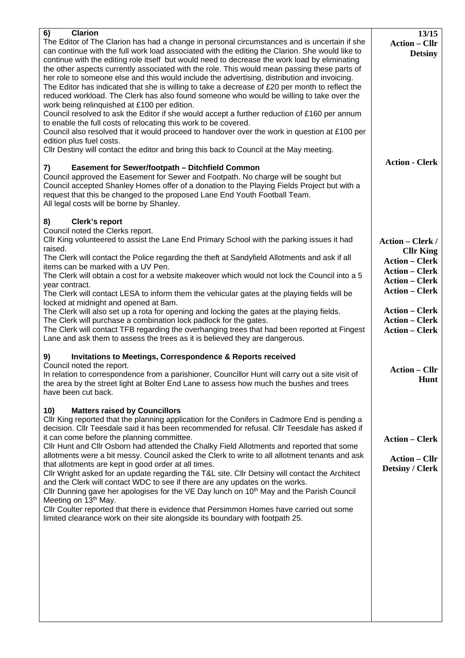| 6)<br><b>Clarion</b><br>The Editor of The Clarion has had a change in personal circumstances and is uncertain if she<br>can continue with the full work load associated with the editing the Clarion. She would like to<br>continue with the editing role itself but would need to decrease the work load by eliminating<br>the other aspects currently associated with the role. This would mean passing these parts of<br>her role to someone else and this would include the advertising, distribution and invoicing.<br>The Editor has indicated that she is willing to take a decrease of $£20$ per month to reflect the<br>reduced workload. The Clerk has also found someone who would be willing to take over the<br>work being relinquished at £100 per edition.<br>Council resolved to ask the Editor if she would accept a further reduction of £160 per annum<br>to enable the full costs of relocating this work to be covered.<br>Council also resolved that it would proceed to handover over the work in question at £100 per<br>edition plus fuel costs.<br>Cllr Destiny will contact the editor and bring this back to Council at the May meeting. | 13/15<br><b>Action – Cllr</b><br><b>Detsiny</b><br><b>Action - Clerk</b>                                             |
|----------------------------------------------------------------------------------------------------------------------------------------------------------------------------------------------------------------------------------------------------------------------------------------------------------------------------------------------------------------------------------------------------------------------------------------------------------------------------------------------------------------------------------------------------------------------------------------------------------------------------------------------------------------------------------------------------------------------------------------------------------------------------------------------------------------------------------------------------------------------------------------------------------------------------------------------------------------------------------------------------------------------------------------------------------------------------------------------------------------------------------------------------------------------|----------------------------------------------------------------------------------------------------------------------|
| <b>Easement for Sewer/footpath - Ditchfield Common</b><br>7)<br>Council approved the Easement for Sewer and Footpath. No charge will be sought but<br>Council accepted Shanley Homes offer of a donation to the Playing Fields Project but with a<br>request that this be changed to the proposed Lane End Youth Football Team.<br>All legal costs will be borne by Shanley.                                                                                                                                                                                                                                                                                                                                                                                                                                                                                                                                                                                                                                                                                                                                                                                         |                                                                                                                      |
| <b>Clerk's report</b><br>8)<br>Council noted the Clerks report.<br>Cllr King volunteered to assist the Lane End Primary School with the parking issues it had                                                                                                                                                                                                                                                                                                                                                                                                                                                                                                                                                                                                                                                                                                                                                                                                                                                                                                                                                                                                        | <b>Action – Clerk /</b>                                                                                              |
| raised.<br>The Clerk will contact the Police regarding the theft at Sandyfield Allotments and ask if all<br>items can be marked with a UV Pen.<br>The Clerk will obtain a cost for a website makeover which would not lock the Council into a 5<br>year contract.<br>The Clerk will contact LESA to inform them the vehicular gates at the playing fields will be<br>locked at midnight and opened at 8am.                                                                                                                                                                                                                                                                                                                                                                                                                                                                                                                                                                                                                                                                                                                                                           | <b>Cllr King</b><br><b>Action – Clerk</b><br><b>Action – Clerk</b><br><b>Action – Clerk</b><br><b>Action - Clerk</b> |
| The Clerk will also set up a rota for opening and locking the gates at the playing fields.<br>The Clerk will purchase a combination lock padlock for the gates.<br>The Clerk will contact TFB regarding the overhanging trees that had been reported at Fingest<br>Lane and ask them to assess the trees as it is believed they are dangerous.                                                                                                                                                                                                                                                                                                                                                                                                                                                                                                                                                                                                                                                                                                                                                                                                                       | <b>Action – Clerk</b><br><b>Action – Clerk</b><br><b>Action – Clerk</b>                                              |
| <b>Invitations to Meetings, Correspondence &amp; Reports received</b><br>9)<br>Council noted the report.<br>In relation to correspondence from a parishioner, Councillor Hunt will carry out a site visit of<br>the area by the street light at Bolter End Lane to assess how much the bushes and trees<br>have been cut back.                                                                                                                                                                                                                                                                                                                                                                                                                                                                                                                                                                                                                                                                                                                                                                                                                                       | <b>Action – Cllr</b><br>Hunt                                                                                         |
| <b>Matters raised by Councillors</b><br>10)<br>CIIr King reported that the planning application for the Conifers in Cadmore End is pending a<br>decision. Cllr Teesdale said it has been recommended for refusal. Cllr Teesdale has asked if<br>it can come before the planning committee.<br>Cllr Hunt and Cllr Osborn had attended the Chalky Field Allotments and reported that some<br>allotments were a bit messy. Council asked the Clerk to write to all allotment tenants and ask<br>that allotments are kept in good order at all times.<br>Cllr Wright asked for an update regarding the T&L site. Cllr Detsiny will contact the Architect<br>and the Clerk will contact WDC to see if there are any updates on the works.<br>Cllr Dunning gave her apologises for the VE Day lunch on 10 <sup>th</sup> May and the Parish Council<br>Meeting on 13 <sup>th</sup> May.<br>Cllr Coulter reported that there is evidence that Persimmon Homes have carried out some<br>limited clearance work on their site alongside its boundary with footpath 25.                                                                                                         | <b>Action – Clerk</b><br><b>Action – Cllr</b><br><b>Detsiny / Clerk</b>                                              |
|                                                                                                                                                                                                                                                                                                                                                                                                                                                                                                                                                                                                                                                                                                                                                                                                                                                                                                                                                                                                                                                                                                                                                                      |                                                                                                                      |